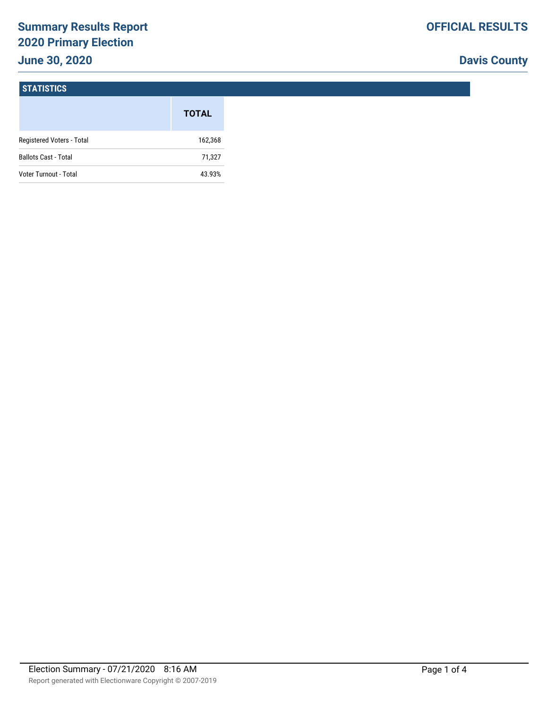# **Summary Results Report 2020 Primary Election June 30, 2020**

## **Davis County**

### **STATISTICS**

|                             | <b>TOTAL</b> |
|-----------------------------|--------------|
| Registered Voters - Total   | 162,368      |
| <b>Ballots Cast - Total</b> | 71,327       |
| Voter Turnout - Total       | 43.93%       |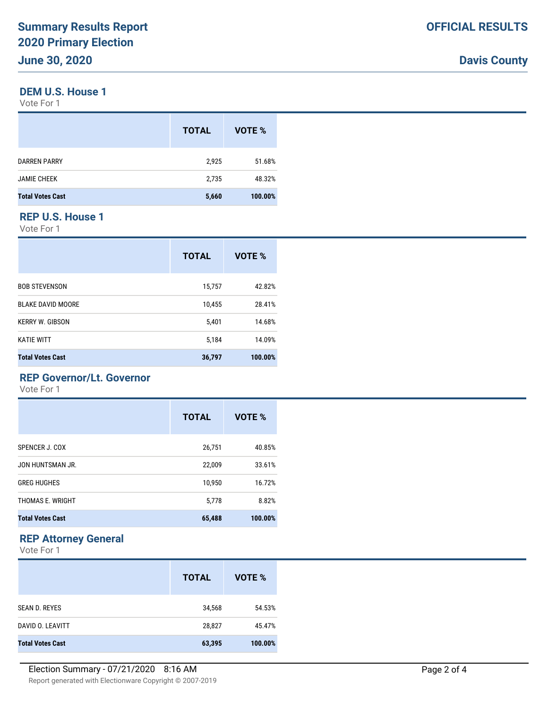#### **DEM U.S. House 1**

Vote For 1

|                         | <b>TOTAL</b> | VOTE %  |
|-------------------------|--------------|---------|
| DARREN PARRY            | 2,925        | 51.68%  |
| <b>JAMIE CHEEK</b>      | 2,735        | 48.32%  |
| <b>Total Votes Cast</b> | 5,660        | 100.00% |
|                         |              |         |

### **REP U.S. House 1**

Vote For 1

|                          | <b>TOTAL</b> | VOTE %  |
|--------------------------|--------------|---------|
| <b>BOB STEVENSON</b>     | 15,757       | 42.82%  |
| <b>BLAKE DAVID MOORE</b> | 10,455       | 28.41%  |
| <b>KERRY W. GIBSON</b>   | 5,401        | 14.68%  |
| <b>KATIE WITT</b>        | 5,184        | 14.09%  |
| <b>Total Votes Cast</b>  | 36,797       | 100.00% |

### **REP Governor/Lt. Governor**

Vote For 1

|                         | <b>TOTAL</b> | VOTE %  |
|-------------------------|--------------|---------|
| SPENCER J. COX          | 26,751       | 40.85%  |
| JON HUNTSMAN JR.        | 22,009       | 33.61%  |
| <b>GREG HUGHES</b>      | 10,950       | 16.72%  |
| THOMAS E. WRIGHT        | 5,778        | 8.82%   |
| <b>Total Votes Cast</b> | 65,488       | 100.00% |

### **REP Attorney General**

Vote For 1

|                         | <b>TOTAL</b> | VOTE %  |
|-------------------------|--------------|---------|
| <b>SEAN D. REYES</b>    | 34,568       | 54.53%  |
| DAVID O. LEAVITT        | 28,827       | 45.47%  |
| <b>Total Votes Cast</b> | 63,395       | 100.00% |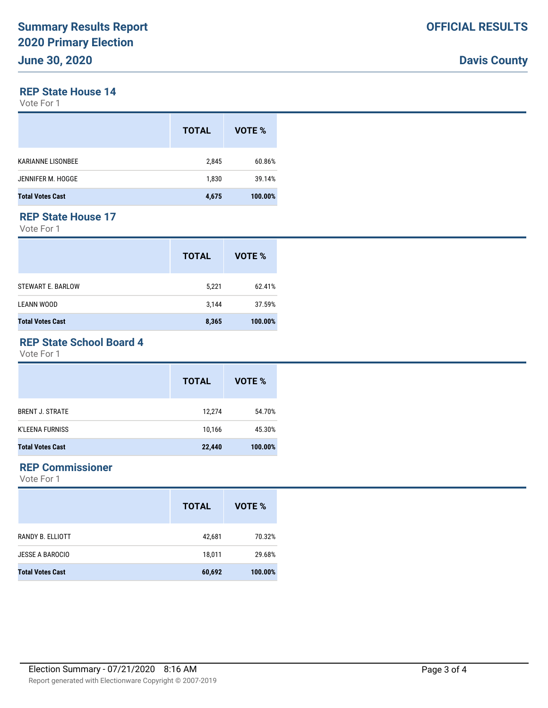## **Davis County**

### **REP State House 14**

Vote For 1

|                         | <b>TOTAL</b> | VOTE %  |
|-------------------------|--------------|---------|
| KARIANNE LISONBEE       | 2,845        | 60.86%  |
| JENNIFER M. HOGGE       | 1,830        | 39.14%  |
| <b>Total Votes Cast</b> | 4,675        | 100.00% |
|                         |              |         |

### **REP State House 17**

Vote For 1

|                          | <b>TOTAL</b> | VOTE %  |
|--------------------------|--------------|---------|
| <b>STEWART E. BARLOW</b> | 5,221        | 62.41%  |
| <b>LEANN WOOD</b>        | 3,144        | 37.59%  |
| <b>Total Votes Cast</b>  | 8,365        | 100.00% |

### **REP State School Board 4**

Vote For 1

|                         | <b>TOTAL</b> | VOTE %  |
|-------------------------|--------------|---------|
| <b>BRENT J. STRATE</b>  | 12,274       | 54.70%  |
| <b>K'LEENA FURNISS</b>  | 10,166       | 45.30%  |
| <b>Total Votes Cast</b> | 22,440       | 100.00% |

### **REP Commissioner**

Vote For 1

|                         | <b>TOTAL</b> | VOTE %  |
|-------------------------|--------------|---------|
| RANDY B. ELLIOTT        | 42,681       | 70.32%  |
| <b>JESSE A BAROCIO</b>  | 18,011       | 29.68%  |
| <b>Total Votes Cast</b> | 60,692       | 100.00% |